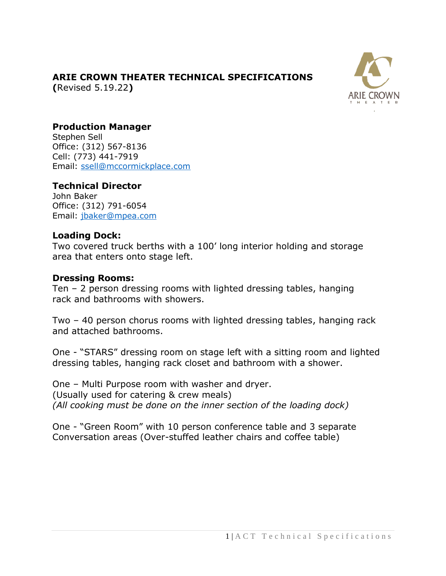# **ARIE CROWN THEATER TECHNICAL SPECIFICATIONS**

**(**Revised 5.19.22**)**



## **Production Manager**

Stephen Sell Office: (312) 567-8136 Cell: (773) 441-7919 [Email:](mailto:mmedlin@mccormickplace.com) [ssell@mccormickplace.com](mailto:ssell@mccormickplace.com)

### **Technical Director**

John Baker Office: (312) 791-6054 [Email:](mailto:jbaker@mpea.com) [jbaker@mpea.com](mailto:jbaker@mpea.com)

#### **Loading Dock:**

Two covered truck berths with a 100' long interior holding and storage area that enters onto stage left.

#### **Dressing Rooms:**

Ten – 2 person dressing rooms with lighted dressing tables, hanging rack and bathrooms with showers.

Two – 40 person chorus rooms with lighted dressing tables, hanging rack and attached bathrooms.

One - "STARS" dressing room on stage left with a sitting room and lighted dressing tables, hanging rack closet and bathroom with a shower.

One – Multi Purpose room with washer and dryer. (Usually used for catering & crew meals) *(All cooking must be done on the inner section of the loading dock)*

One - "Green Room" with 10 person conference table and 3 separate Conversation areas (Over-stuffed leather chairs and coffee table)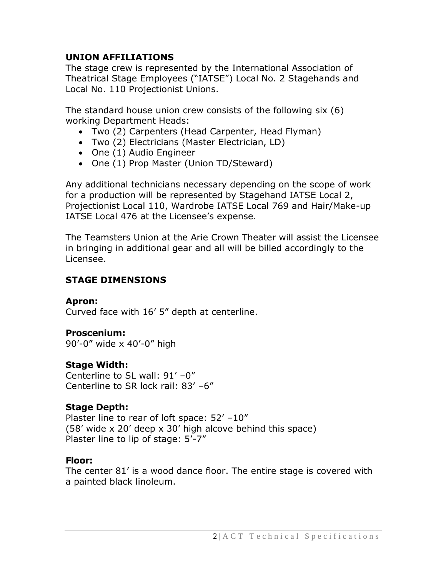## **UNION AFFILIATIONS**

The stage crew is represented by the International Association of Theatrical Stage Employees ("IATSE") Local No. 2 Stagehands and Local No. 110 Projectionist Unions.

The standard house union crew consists of the following six (6) working Department Heads:

- Two (2) Carpenters (Head Carpenter, Head Flyman)
- Two (2) Electricians (Master Electrician, LD)
- One (1) Audio Engineer
- One (1) Prop Master (Union TD/Steward)

Any additional technicians necessary depending on the scope of work for a production will be represented by Stagehand IATSE Local 2, Projectionist Local 110, Wardrobe IATSE Local 769 and Hair/Make-up IATSE Local 476 at the Licensee's expense.

The Teamsters Union at the Arie Crown Theater will assist the Licensee in bringing in additional gear and all will be billed accordingly to the Licensee.

### **STAGE DIMENSIONS**

#### **Apron:**

Curved face with 16' 5" depth at centerline.

### **Proscenium:**

90'-0" wide x 40'-0" high

### **Stage Width:**

Centerline to SL wall: 91' –0" Centerline to SR lock rail: 83' –6"

### **Stage Depth:**

Plaster line to rear of loft space: 52' -10" (58' wide x 20' deep x 30' high alcove behind this space) Plaster line to lip of stage: 5'-7"

#### **Floor:**

The center 81' is a wood dance floor. The entire stage is covered with a painted black linoleum.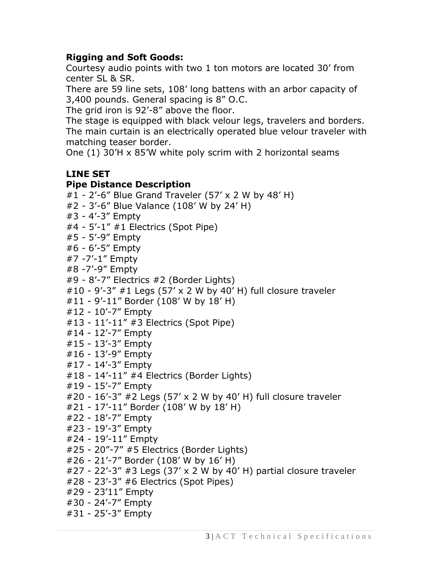### **Rigging and Soft Goods:**

Courtesy audio points with two 1 ton motors are located 30' from center SL & SR.

There are 59 line sets, 108' long battens with an arbor capacity of 3,400 pounds. General spacing is 8" O.C.

The grid iron is 92'-8" above the floor.

The stage is equipped with black velour legs, travelers and borders. The main curtain is an electrically operated blue velour traveler with matching teaser border.

One (1) 30'H x 85'W white poly scrim with 2 horizontal seams

# **LINE SET**

#### **Pipe Distance Description**

#1 - 2'-6" Blue Grand Traveler (57' x 2 W by 48' H) #2 - 3'-6" Blue Valance (108' W by 24' H) #3 - 4'-3" Empty #4 - 5'-1" #1 Electrics (Spot Pipe) #5 - 5'-9" Empty #6 - 6'-5" Empty #7 -7'-1" Empty #8 -7'-9" Empty #9 - 8'-7" Electrics #2 (Border Lights)  $\#10 - 9'$ -3"  $\#1$  Legs (57' x 2 W by 40' H) full closure traveler #11 - 9'-11" Border (108' W by 18' H) #12 - 10'-7" Empty #13 - 11'-11" #3 Electrics (Spot Pipe) #14 - 12'-7" Empty #15 - 13'-3" Empty #16 - 13'-9" Empty #17 - 14'-3" Empty #18 - 14'-11" #4 Electrics (Border Lights) #19 - 15'-7" Empty #20 - 16'-3" #2 Legs (57' x 2 W by 40' H) full closure traveler #21 - 17'-11" Border (108' W by 18' H) #22 - 18'-7" Empty #23 - 19'-3" Empty #24 - 19'-11" Empty #25 - 20"-7" #5 Electrics (Border Lights) #26 - 21'-7" Border (108' W by 16' H)  $#27 - 22' - 3'' + 3$  Legs (37' x 2 W by 40' H) partial closure traveler #28 - 23'-3" #6 Electrics (Spot Pipes) #29 - 23'11" Empty #30 - 24'-7" Empty #31 - 25'-3" Empty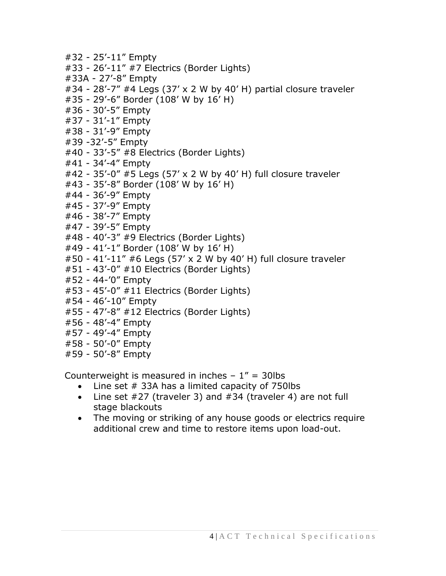- #32 25'-11" Empty #33 - 26'-11" #7 Electrics (Border Lights) #33A - 27'-8" Empty  $\#34$  - 28'-7"  $\#4$  Legs (37' x 2 W by 40' H) partial closure traveler #35 - 29'-6" Border (108' W by 16' H) #36 - 30'-5" Empty #37 - 31'-1" Empty #38 - 31'-9" Empty #39 -32'-5" Empty #40 - 33'-5" #8 Electrics (Border Lights) #41 - 34'-4" Empty #42 - 35'-0" #5 Legs (57' x 2 W by 40' H) full closure traveler #43 - 35'-8" Border (108' W by 16' H) #44 - 36'-9" Empty #45 - 37'-9" Empty #46 - 38'-7" Empty #47 - 39'-5" Empty #48 - 40'-3" #9 Electrics (Border Lights) #49 - 41'-1" Border (108' W by 16' H) #50 - 41'-11" #6 Legs (57' x 2 W by 40' H) full closure traveler #51 - 43'-0" #10 Electrics (Border Lights) #52 - 44-'0" Empty #53 - 45'-0" #11 Electrics (Border Lights) #54 - 46'-10" Empty #55 - 47'-8" #12 Electrics (Border Lights) #56 - 48'-4" Empty #57 - 49'-4" Empty #58 - 50'-0" Empty
- #59 50'-8" Empty

Counterweight is measured in inches  $-1'' = 30$ lbs

- Line set  $#$  33A has a limited capacity of 750lbs
- Line set #27 (traveler 3) and #34 (traveler 4) are not full stage blackouts
- The moving or striking of any house goods or electrics require additional crew and time to restore items upon load-out.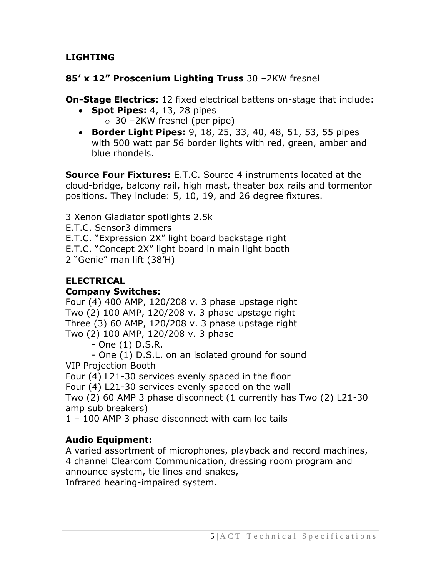**LIGHTING**

### **85' x 12" Proscenium Lighting Truss** 30 –2KW fresnel

**On-Stage Electrics:** 12 fixed electrical battens on-stage that include:

- **Spot Pipes:** 4, 13, 28 pipes  $\circ$  30 –2KW fresnel (per pipe)
- **Border Light Pipes:** 9, 18, 25, 33, 40, 48, 51, 53, 55 pipes with 500 watt par 56 border lights with red, green, amber and blue rhondels.

**Source Four Fixtures:** E.T.C. Source 4 instruments located at the cloud-bridge, balcony rail, high mast, theater box rails and tormentor positions. They include: 5, 10, 19, and 26 degree fixtures.

3 Xenon Gladiator spotlights 2.5k

E.T.C. Sensor3 dimmers

E.T.C. "Expression 2X" light board backstage right

E.T.C. "Concept 2X" light board in main light booth

2 "Genie" man lift (38'H)

## **ELECTRICAL**

#### **Company Switches:**

Four (4) 400 AMP, 120/208 v. 3 phase upstage right Two (2) 100 AMP, 120/208 v. 3 phase upstage right Three (3) 60 AMP, 120/208 v. 3 phase upstage right Two (2) 100 AMP, 120/208 v. 3 phase

- One (1) D.S.R.

- One (1) D.S.L. on an isolated ground for sound VIP Projection Booth

Four (4) L21-30 services evenly spaced in the floor

Four (4) L21-30 services evenly spaced on the wall

Two (2) 60 AMP 3 phase disconnect (1 currently has Two (2) L21-30 amp sub breakers)

1 – 100 AMP 3 phase disconnect with cam loc tails

# **Audio Equipment:**

A varied assortment of microphones, playback and record machines, 4 channel Clearcom Communication, dressing room program and announce system, tie lines and snakes,

Infrared hearing-impaired system.